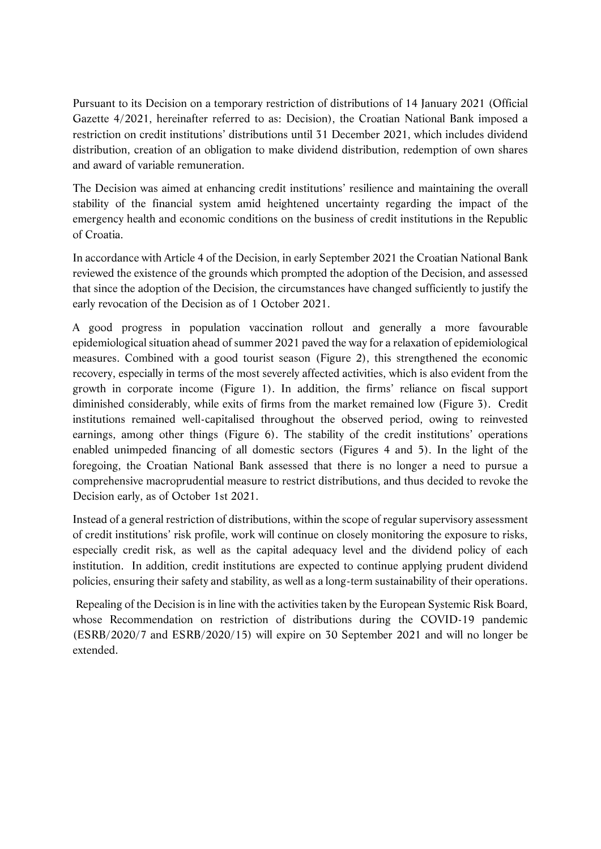Pursuant to its Decision on a temporary restriction of distributions of 14 January 2021 (Official Gazette 4/2021, hereinafter referred to as: Decision), the Croatian National Bank imposed a restriction on credit institutions' distributions until 31 December 2021, which includes dividend distribution, creation of an obligation to make dividend distribution, redemption of own shares and award of variable remuneration.

The Decision was aimed at enhancing credit institutions' resilience and maintaining the overall stability of the financial system amid heightened uncertainty regarding the impact of the emergency health and economic conditions on the business of credit institutions in the Republic of Croatia.

In accordance with Article 4 of the Decision, in early September 2021 the Croatian National Bank reviewed the existence of the grounds which prompted the adoption of the Decision, and assessed that since the adoption of the Decision, the circumstances have changed sufficiently to justify the early revocation of the Decision as of 1 October 2021.

A good progress in population vaccination rollout and generally a more favourable epidemiological situation ahead of summer 2021 paved the way for a relaxation of epidemiological measures. Combined with a good tourist season (Figure 2), this strengthened the economic recovery, especially in terms of the most severely affected activities, which is also evident from the growth in corporate income (Figure 1). In addition, the firms' reliance on fiscal support diminished considerably, while exits of firms from the market remained low (Figure 3). Credit institutions remained well-capitalised throughout the observed period, owing to reinvested earnings, among other things (Figure 6). The stability of the credit institutions' operations enabled unimpeded financing of all domestic sectors (Figures 4 and 5). In the light of the foregoing, the Croatian National Bank assessed that there is no longer a need to pursue a comprehensive macroprudential measure to restrict distributions, and thus decided to revoke the Decision early, as of October 1st 2021.

Instead of a general restriction of distributions, within the scope of regular supervisory assessment of credit institutions' risk profile, work will continue on closely monitoring the exposure to risks, especially credit risk, as well as the capital adequacy level and the dividend policy of each institution. In addition, credit institutions are expected to continue applying prudent dividend policies, ensuring their safety and stability, as well as a long-term sustainability of their operations.

 Repealing of the Decision is in line with the activities taken by the European Systemic Risk Board, whose Recommendation on restriction of distributions during the COVID-19 pandemic (ESRB/2020/7 and ESRB/2020/15) will expire on 30 September 2021 and will no longer be extended.